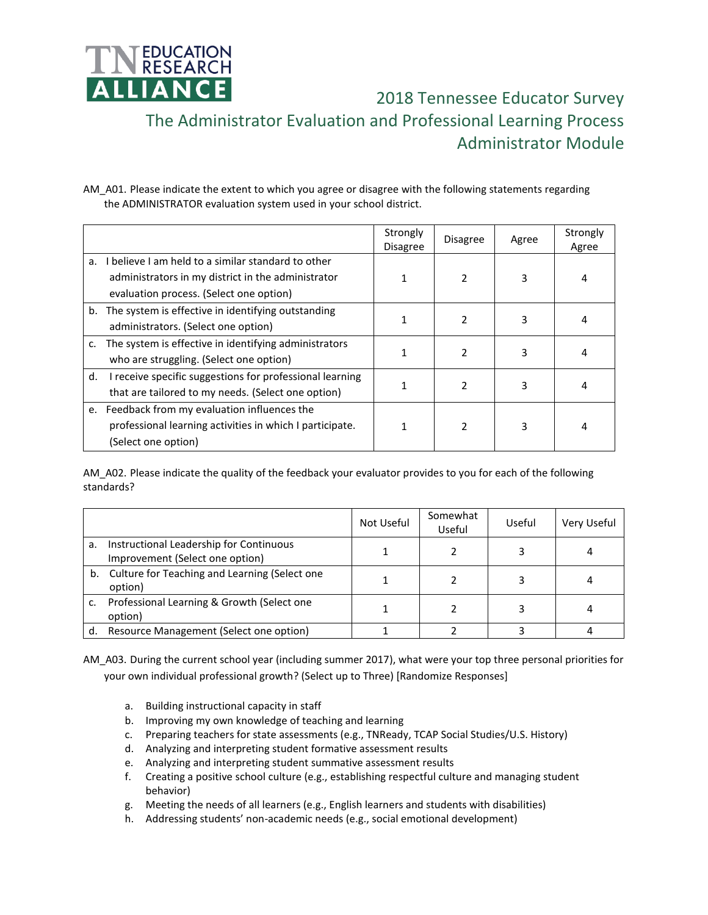

 2018 Tennessee Educator Survey The Administrator Evaluation and Professional Learning Process Administrator Module

AM\_A01. Please indicate the extent to which you agree or disagree with the following statements regarding the ADMINISTRATOR evaluation system used in your school district.

|    |                                                          | Strongly<br>Disagree | <b>Disagree</b> | Agree | Strongly<br>Agree |
|----|----------------------------------------------------------|----------------------|-----------------|-------|-------------------|
| a. | I believe I am held to a similar standard to other       |                      |                 |       |                   |
|    | administrators in my district in the administrator       |                      | $\mathfrak z$   | 3     | 4                 |
|    | evaluation process. (Select one option)                  |                      |                 |       |                   |
|    | b. The system is effective in identifying outstanding    |                      | 2               | 3     | 4                 |
|    | administrators. (Select one option)                      |                      |                 |       |                   |
| c. | The system is effective in identifying administrators    |                      | $\mathcal{P}$   | 3     | 4                 |
|    | who are struggling. (Select one option)                  |                      |                 |       |                   |
| d. | I receive specific suggestions for professional learning |                      | $\mathfrak z$   | 3     | 4                 |
|    | that are tailored to my needs. (Select one option)       |                      |                 |       |                   |
| e. | Feedback from my evaluation influences the               |                      |                 |       |                   |
|    | professional learning activities in which I participate. |                      | $\mathfrak z$   | 3     | 4                 |
|    | (Select one option)                                      |                      |                 |       |                   |

AM\_A02. Please indicate the quality of the feedback your evaluator provides to you for each of the following standards?

|    |                                                                            | Not Useful | Somewhat<br>Useful | Useful | Very Useful |
|----|----------------------------------------------------------------------------|------------|--------------------|--------|-------------|
| a. | Instructional Leadership for Continuous<br>Improvement (Select one option) |            |                    |        |             |
|    | b. Culture for Teaching and Learning (Select one<br>option)                |            |                    |        |             |
|    | Professional Learning & Growth (Select one<br>option)                      |            |                    |        |             |
| d. | Resource Management (Select one option)                                    |            |                    |        |             |

AM\_A03. During the current school year (including summer 2017), what were your top three personal priorities for your own individual professional growth? (Select up to Three) [Randomize Responses]

- a. Building instructional capacity in staff
- b. Improving my own knowledge of teaching and learning
- c. Preparing teachers for state assessments (e.g., TNReady, TCAP Social Studies/U.S. History)
- d. Analyzing and interpreting student formative assessment results
- e. Analyzing and interpreting student summative assessment results
- f. Creating a positive school culture (e.g., establishing respectful culture and managing student behavior)
- g. Meeting the needs of all learners (e.g., English learners and students with disabilities)
- h. Addressing students' non-academic needs (e.g., social emotional development)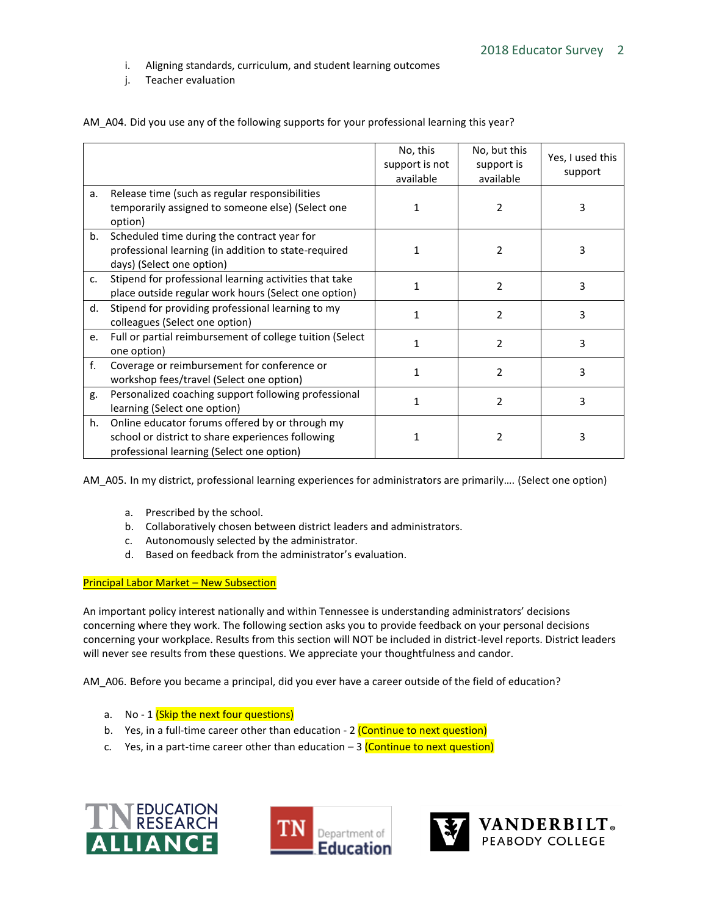- i. Aligning standards, curriculum, and student learning outcomes
- j. Teacher evaluation

|         |                                                                                                                                                   | No, this<br>support is not<br>available | No, but this<br>support is<br>available | Yes, I used this<br>support |
|---------|---------------------------------------------------------------------------------------------------------------------------------------------------|-----------------------------------------|-----------------------------------------|-----------------------------|
| a.      | Release time (such as regular responsibilities<br>temporarily assigned to someone else) (Select one<br>option)                                    |                                         | 2                                       | 3                           |
| b.      | Scheduled time during the contract year for<br>professional learning (in addition to state-required<br>days) (Select one option)                  |                                         | 2                                       | 3                           |
| $C_{1}$ | Stipend for professional learning activities that take<br>place outside regular work hours (Select one option)                                    |                                         | 2                                       | 3                           |
| d.      | Stipend for providing professional learning to my<br>colleagues (Select one option)                                                               |                                         | $\mathfrak{p}$                          | 3                           |
| e.      | Full or partial reimbursement of college tuition (Select<br>one option)                                                                           |                                         | 2                                       | 3                           |
| f.      | Coverage or reimbursement for conference or<br>workshop fees/travel (Select one option)                                                           |                                         | $\overline{2}$                          | 3                           |
| g.      | Personalized coaching support following professional<br>learning (Select one option)                                                              |                                         | 2                                       | 3                           |
| h.      | Online educator forums offered by or through my<br>school or district to share experiences following<br>professional learning (Select one option) |                                         | 2                                       | 3                           |

AM A04. Did you use any of the following supports for your professional learning this year?

AM A05. In my district, professional learning experiences for administrators are primarily.... (Select one option)

- a. Prescribed by the school.
- b. Collaboratively chosen between district leaders and administrators.
- c. Autonomously selected by the administrator.
- d. Based on feedback from the administrator's evaluation.

## **Principal Labor Market - New Subsection**

An important policy interest nationally and within Tennessee is understanding administrators' decisions concerning where they work. The following section asks you to provide feedback on your personal decisions concerning your workplace. Results from this section will NOT be included in district-level reports. District leaders will never see results from these questions. We appreciate your thoughtfulness and candor.

AM\_A06. Before you became a principal, did you ever have a career outside of the field of education?

- a. No 1 (Skip the next four questions)
- b. Yes, in a full-time career other than education 2 (Continue to next question)
- c. Yes, in a part-time career other than education  $-3$  (Continue to next question)





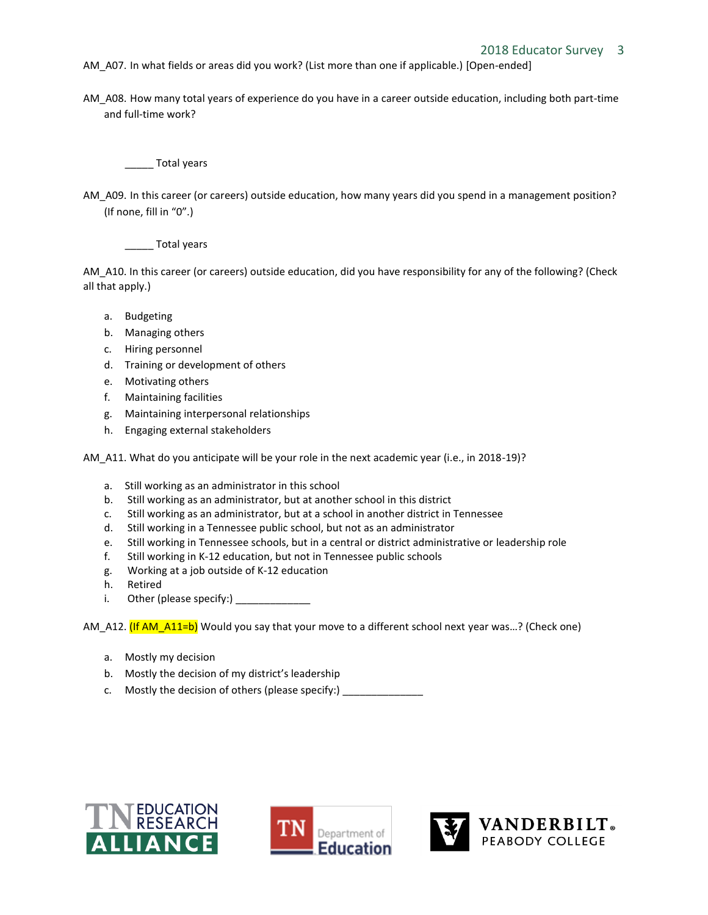- AM\_A07. In what fields or areas did you work? (List more than one if applicable.) [Open-ended]
- AM\_A08. How many total years of experience do you have in a career outside education, including both part-time and full-time work?

\_\_\_\_\_ Total years

AM\_A09. In this career (or careers) outside education, how many years did you spend in a management position? (If none, fill in "0".)

\_\_\_\_\_ Total years

AM\_A10. In this career (or careers) outside education, did you have responsibility for any of the following? (Check all that apply.)

- a. Budgeting
- b. Managing others
- c. Hiring personnel
- d. Training or development of others
- e. Motivating others
- f. Maintaining facilities
- g. Maintaining interpersonal relationships
- h. Engaging external stakeholders

AM\_A11. What do you anticipate will be your role in the next academic year (i.e., in 2018-19)?

- a. Still working as an administrator in this school
- b. Still working as an administrator, but at another school in this district
- c. Still working as an administrator, but at a school in another district in Tennessee
- d. Still working in a Tennessee public school, but not as an administrator
- e. Still working in Tennessee schools, but in a central or district administrative or leadership role
- f. Still working in K-12 education, but not in Tennessee public schools
- g. Working at a job outside of K-12 education
- Retired
- i. Other (please specify:)

AM\_A12. (If AM\_A11=b) Would you say that your move to a different school next year was...? (Check one)

- a. Mostly my decision
- b. Mostly the decision of my district's leadership
- c. Mostly the decision of others (please specify:)